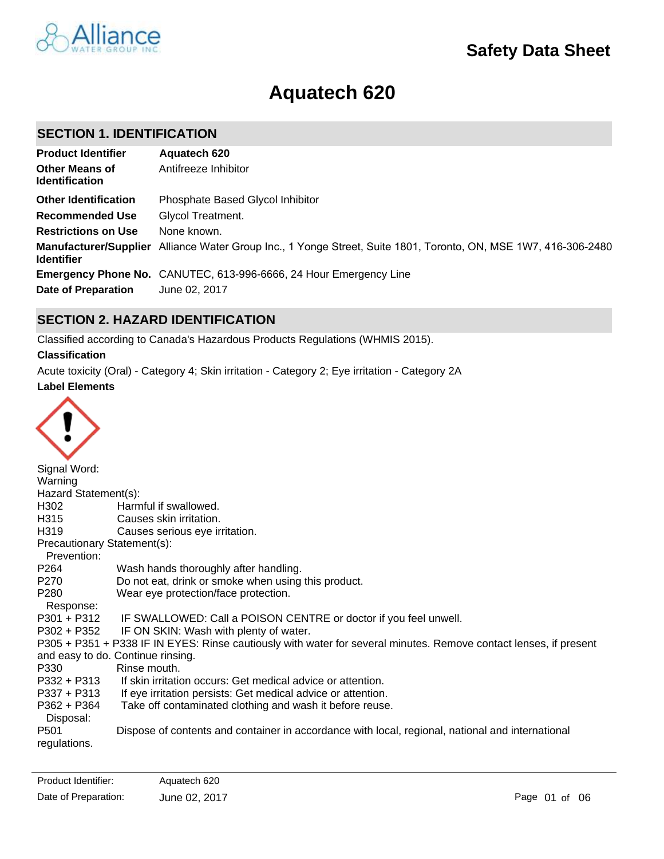# **Aquatech 620**

# **SECTION 1. IDENTIFICATION**

| <b>Product Identifier</b>                      | Aquatech 620                                                                                                    |
|------------------------------------------------|-----------------------------------------------------------------------------------------------------------------|
| <b>Other Means of</b><br><b>Identification</b> | Antifreeze Inhibitor                                                                                            |
| <b>Other Identification</b>                    | Phosphate Based Glycol Inhibitor                                                                                |
| <b>Recommended Use</b>                         | Glycol Treatment.                                                                                               |
| <b>Restrictions on Use</b>                     | None known.                                                                                                     |
| <b>Identifier</b>                              | Manufacturer/Supplier Alliance Water Group Inc., 1 Yonge Street, Suite 1801, Toronto, ON, MSE 1W7, 416-306-2480 |
|                                                | Emergency Phone No. CANUTEC, 613-996-6666, 24 Hour Emergency Line                                               |
| <b>Date of Preparation</b>                     | June 02, 2017                                                                                                   |

# **SECTION 2. HAZARD IDENTIFICATION**

Classified according to Canada's Hazardous Products Regulations (WHMIS 2015).

# **Classification**

**Label Elements** Acute toxicity (Oral) - Category 4; Skin irritation - Category 2; Eye irritation - Category 2A



| $\tilde{\phantom{a}}$       |                                                                                                                   |
|-----------------------------|-------------------------------------------------------------------------------------------------------------------|
| Signal Word:                |                                                                                                                   |
| Warning                     |                                                                                                                   |
| Hazard Statement(s):        |                                                                                                                   |
| H302                        | Harmful if swallowed.                                                                                             |
| H315                        | Causes skin irritation.                                                                                           |
| H319                        | Causes serious eye irritation.                                                                                    |
| Precautionary Statement(s): |                                                                                                                   |
| Prevention:                 |                                                                                                                   |
| P <sub>264</sub>            | Wash hands thoroughly after handling.                                                                             |
| P270                        | Do not eat, drink or smoke when using this product.                                                               |
| P280                        | Wear eye protection/face protection.                                                                              |
| Response:                   |                                                                                                                   |
| $P301 + P312$               | IF SWALLOWED: Call a POISON CENTRE or doctor if you feel unwell.                                                  |
| P302 + P352                 | IF ON SKIN: Wash with plenty of water.                                                                            |
|                             | P305 + P351 + P338 IF IN EYES: Rinse cautiously with water for several minutes. Remove contact lenses, if present |
|                             | and easy to do. Continue rinsing.                                                                                 |
| P330                        | Rinse mouth.                                                                                                      |
| P332 + P313                 | If skin irritation occurs: Get medical advice or attention.                                                       |
| P337 + P313                 | If eye irritation persists: Get medical advice or attention.                                                      |
| $P362 + P364$               | Take off contaminated clothing and wash it before reuse.                                                          |
| Disposal:                   |                                                                                                                   |
| P <sub>501</sub>            | Dispose of contents and container in accordance with local, regional, national and international                  |
| regulations.                |                                                                                                                   |
|                             |                                                                                                                   |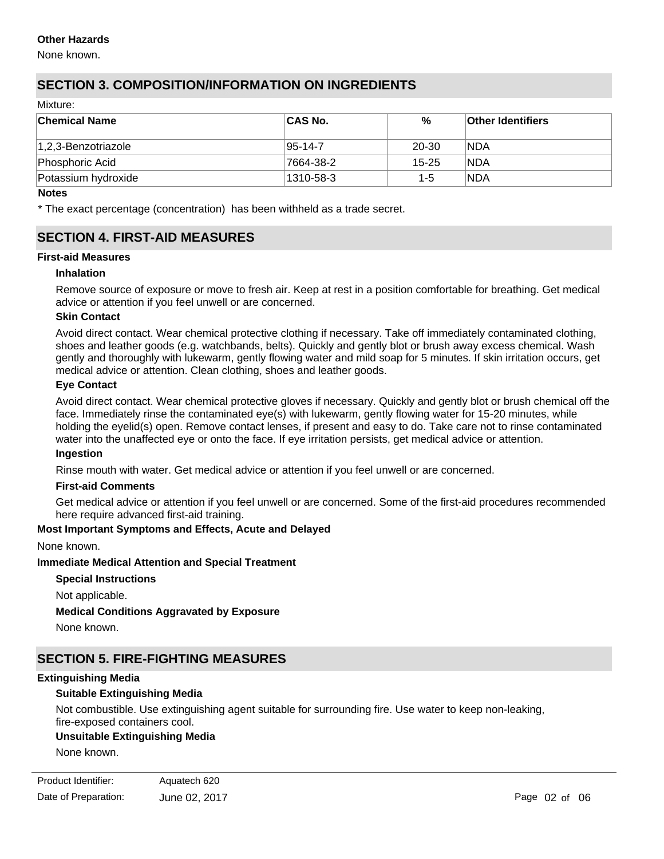# **Other Hazards**

None known.

# **SECTION 3. COMPOSITION/INFORMATION ON INGREDIENTS**

Mixture:

| <b>Chemical Name</b> | <b>CAS No.</b> | %         | <b>Other Identifiers</b> |
|----------------------|----------------|-----------|--------------------------|
| 1,2,3-Benzotriazole  | $ 95-14-7$     | 20-30     | <b>NDA</b>               |
| Phosphoric Acid      | 7664-38-2      | $15 - 25$ | <b>NDA</b>               |
| Potassium hydroxide  | 1310-58-3      | $1 - 5$   | <b>NDA</b>               |

#### **Notes**

\* The exact percentage (concentration) has been withheld as a trade secret.

# **SECTION 4. FIRST-AID MEASURES**

#### **First-aid Measures**

### **Inhalation**

Remove source of exposure or move to fresh air. Keep at rest in a position comfortable for breathing. Get medical advice or attention if you feel unwell or are concerned.

#### **Skin Contact**

Avoid direct contact. Wear chemical protective clothing if necessary. Take off immediately contaminated clothing, shoes and leather goods (e.g. watchbands, belts). Quickly and gently blot or brush away excess chemical. Wash gently and thoroughly with lukewarm, gently flowing water and mild soap for 5 minutes. If skin irritation occurs, get medical advice or attention. Clean clothing, shoes and leather goods.

### **Eye Contact**

Avoid direct contact. Wear chemical protective gloves if necessary. Quickly and gently blot or brush chemical off the face. Immediately rinse the contaminated eye(s) with lukewarm, gently flowing water for 15-20 minutes, while holding the eyelid(s) open. Remove contact lenses, if present and easy to do. Take care not to rinse contaminated water into the unaffected eye or onto the face. If eye irritation persists, get medical advice or attention.

#### **Ingestion**

Rinse mouth with water. Get medical advice or attention if you feel unwell or are concerned.

### **First-aid Comments**

Get medical advice or attention if you feel unwell or are concerned. Some of the first-aid procedures recommended here require advanced first-aid training.

### **Most Important Symptoms and Effects, Acute and Delayed**

None known.

### **Immediate Medical Attention and Special Treatment**

**Special Instructions** Not applicable. **Medical Conditions Aggravated by Exposure** None known.

# **SECTION 5. FIRE-FIGHTING MEASURES**

### **Extinguishing Media**

#### **Suitable Extinguishing Media**

Not combustible. Use extinguishing agent suitable for surrounding fire. Use water to keep non-leaking, fire-exposed containers cool.

### **Unsuitable Extinguishing Media**

**Specific Hazards Arising from the Product**

None known.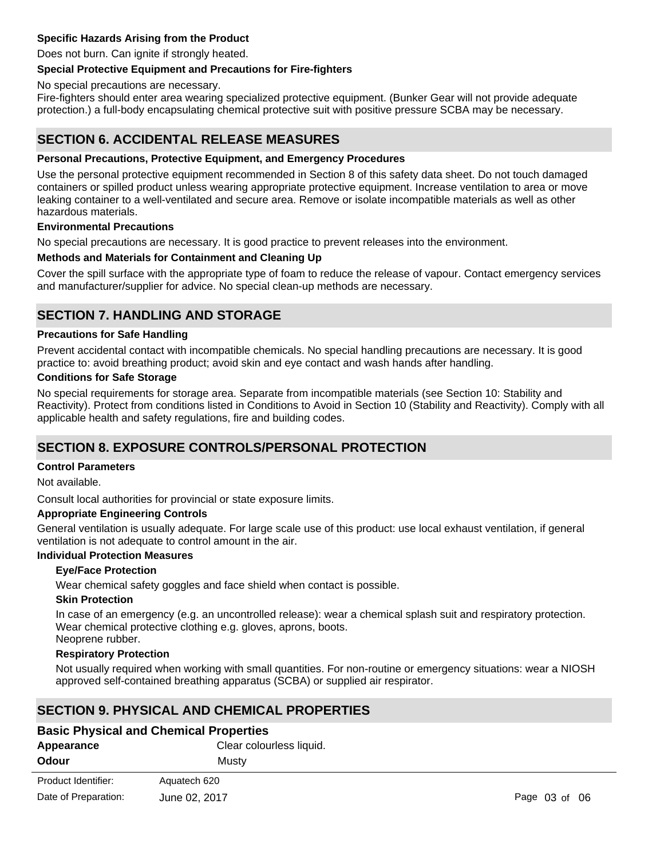# **Specific Hazards Arising from the Product**

Does not burn. Can ignite if strongly heated.

### **Special Protective Equipment and Precautions for Fire-fighters**

No special precautions are necessary.

Fire-fighters should enter area wearing specialized protective equipment. (Bunker Gear will not provide adequate protection.) a full-body encapsulating chemical protective suit with positive pressure SCBA may be necessary.

# **SECTION 6. ACCIDENTAL RELEASE MEASURES**

### **Personal Precautions, Protective Equipment, and Emergency Procedures**

Use the personal protective equipment recommended in Section 8 of this safety data sheet. Do not touch damaged containers or spilled product unless wearing appropriate protective equipment. Increase ventilation to area or move leaking container to a well-ventilated and secure area. Remove or isolate incompatible materials as well as other hazardous materials.

### **Environmental Precautions**

No special precautions are necessary. It is good practice to prevent releases into the environment.

### **Methods and Materials for Containment and Cleaning Up**

Cover the spill surface with the appropriate type of foam to reduce the release of vapour. Contact emergency services and manufacturer/supplier for advice. No special clean-up methods are necessary.

# **SECTION 7. HANDLING AND STORAGE**

#### **Precautions for Safe Handling**

Prevent accidental contact with incompatible chemicals. No special handling precautions are necessary. It is good practice to: avoid breathing product; avoid skin and eye contact and wash hands after handling.

#### **Conditions for Safe Storage**

No special requirements for storage area. Separate from incompatible materials (see Section 10: Stability and Reactivity). Protect from conditions listed in Conditions to Avoid in Section 10 (Stability and Reactivity). Comply with all applicable health and safety regulations, fire and building codes.

# **SECTION 8. EXPOSURE CONTROLS/PERSONAL PROTECTION**

#### **Control Parameters**

Not available.

Consult local authorities for provincial or state exposure limits.

### **Appropriate Engineering Controls**

General ventilation is usually adequate. For large scale use of this product: use local exhaust ventilation, if general ventilation is not adequate to control amount in the air.

# **Individual Protection Measures**

### **Eye/Face Protection**

Wear chemical safety goggles and face shield when contact is possible.

#### **Skin Protection**

In case of an emergency (e.g. an uncontrolled release): wear a chemical splash suit and respiratory protection. Wear chemical protective clothing e.g. gloves, aprons, boots. Neoprene rubber.

#### **Respiratory Protection**

Not usually required when working with small quantities. For non-routine or emergency situations: wear a NIOSH approved self-contained breathing apparatus (SCBA) or supplied air respirator.

# **SECTION 9. PHYSICAL AND CHEMICAL PROPERTIES**

| <b>Basic Physical and Chemical Properties</b> |                          |               |
|-----------------------------------------------|--------------------------|---------------|
| Appearance                                    | Clear colourless liquid. |               |
| Odour                                         | Mustv                    |               |
| Product Identifier:                           | Aquatech 620             |               |
| Date of Preparation:                          | June 02, 2017            | Page 03 of 06 |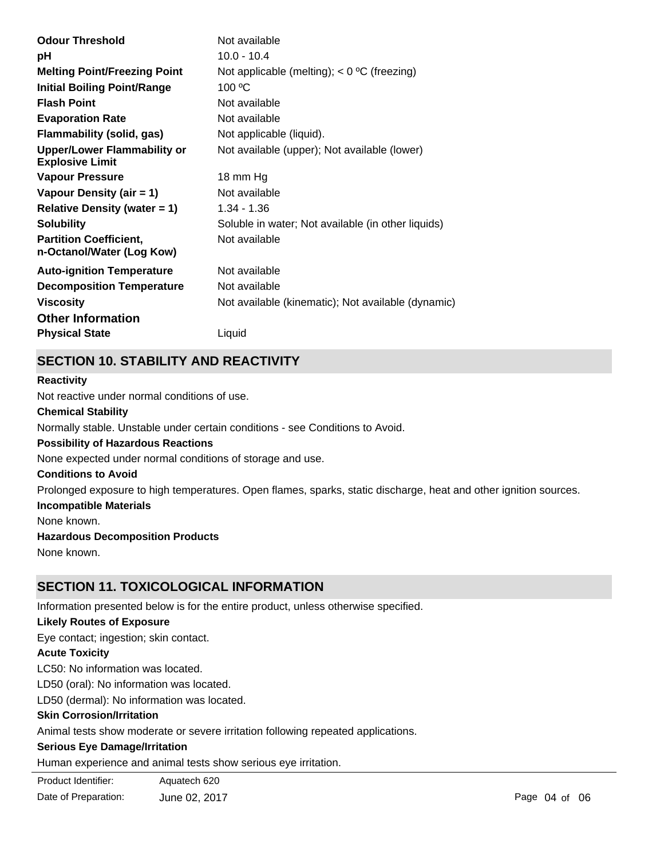| <b>Odour Threshold</b>                                       | Not available                                      |
|--------------------------------------------------------------|----------------------------------------------------|
| рH                                                           | $10.0 - 10.4$                                      |
| <b>Melting Point/Freezing Point</b>                          | Not applicable (melting); $<$ 0 °C (freezing)      |
| <b>Initial Boiling Point/Range</b>                           | 100 °C                                             |
| <b>Flash Point</b>                                           | Not available                                      |
| <b>Evaporation Rate</b>                                      | Not available                                      |
| <b>Flammability (solid, gas)</b>                             | Not applicable (liquid).                           |
| <b>Upper/Lower Flammability or</b><br><b>Explosive Limit</b> | Not available (upper); Not available (lower)       |
| <b>Vapour Pressure</b>                                       | 18 mm Hg                                           |
| Vapour Density (air = 1)                                     | Not available                                      |
| Relative Density (water $= 1$ )                              | 1.34 - 1.36                                        |
| <b>Solubility</b>                                            | Soluble in water; Not available (in other liquids) |
| <b>Partition Coefficient,</b><br>n-Octanol/Water (Log Kow)   | Not available                                      |
| <b>Auto-ignition Temperature</b>                             | Not available                                      |
| <b>Decomposition Temperature</b>                             | Not available                                      |
| <b>Viscosity</b>                                             | Not available (kinematic); Not available (dynamic) |
| <b>Other Information</b>                                     |                                                    |
| <b>Physical State</b>                                        | Liquid                                             |

# **SECTION 10. STABILITY AND REACTIVITY**

# **Chemical Stability** Normally stable. Unstable under certain conditions - see Conditions to Avoid. **Conditions to Avoid** Prolonged exposure to high temperatures. Open flames, sparks, static discharge, heat and other ignition sources. **Incompatible Materials** None known. **Hazardous Decomposition Products Possibility of Hazardous Reactions** None expected under normal conditions of storage and use. **Reactivity** Not reactive under normal conditions of use.

None known.

# **SECTION 11. TOXICOLOGICAL INFORMATION**

Information presented below is for the entire product, unless otherwise specified.

# **Likely Routes of Exposure**

Eye contact; ingestion; skin contact.

# **Acute Toxicity**

LC50: No information was located.

LD50 (oral): No information was located.

LD50 (dermal): No information was located.

# **Skin Corrosion/Irritation**

Animal tests show moderate or severe irritation following repeated applications.

# **Serious Eye Damage/Irritation**

Human experience and animal tests show serious eye irritation.

| Product Identifier: | Aquatech 620                |  |
|---------------------|-----------------------------|--|
| .                   | $\sim$ $\sim$ $\sim$ $\sim$ |  |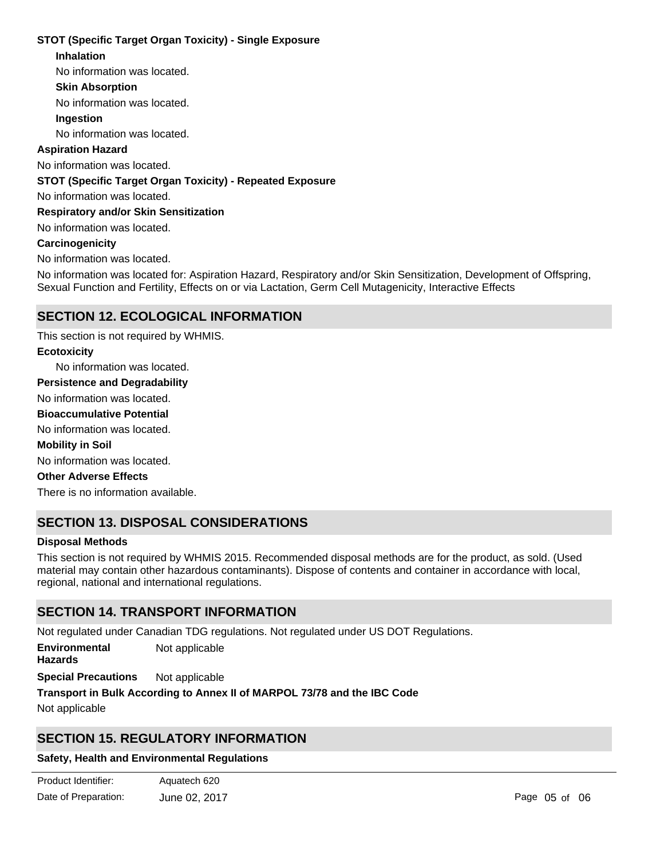# **STOT (Specific Target Organ Toxicity) - Single Exposure**

### **Inhalation**

No information was located.

# **Skin Absorption**

No information was located.

# **Ingestion**

No information was located.

# **Aspiration Hazard**

No information was located.

# **STOT (Specific Target Organ Toxicity) - Repeated Exposure**

No information was located.

**Respiratory and/or Skin Sensitization**

# No information was located.

### **Carcinogenicity**

No information was located.

No information was located for: Aspiration Hazard, Respiratory and/or Skin Sensitization, Development of Offspring, Sexual Function and Fertility, Effects on or via Lactation, Germ Cell Mutagenicity, Interactive Effects

# **SECTION 12. ECOLOGICAL INFORMATION**

No information was located. No information was located. No information was located. There is no information available. This section is not required by WHMIS. No information was located. **Ecotoxicity Persistence and Degradability Mobility in Soil Other Adverse Effects Bioaccumulative Potential**

# **SECTION 13. DISPOSAL CONSIDERATIONS**

### **Disposal Methods**

This section is not required by WHMIS 2015. Recommended disposal methods are for the product, as sold. (Used material may contain other hazardous contaminants). Dispose of contents and container in accordance with local, regional, national and international regulations.

# **SECTION 14. TRANSPORT INFORMATION**

Not regulated under Canadian TDG regulations. Not regulated under US DOT Regulations.

**Environmental** Not applicable

**Hazards**

**Special Precautions** Not applicable

### **Transport in Bulk According to Annex II of MARPOL 73/78 and the IBC Code**

Not applicable

# **SECTION 15. REGULATORY INFORMATION**

# **Safety, Health and Environmental Regulations**

| Product Identifier:  | Aquatech 620  |
|----------------------|---------------|
| Date of Preparation: | June 02, 2017 |